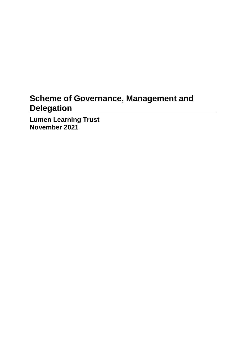# **Scheme of Governance, Management and Delegation**

**Lumen Learning Trust November 2021**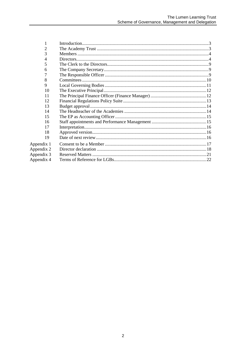| 2          |  |
|------------|--|
| 3          |  |
| 4          |  |
| 5          |  |
| 6          |  |
|            |  |
| 8          |  |
| 9          |  |
| 10         |  |
| 11         |  |
| 12         |  |
| 13         |  |
| 14         |  |
| 15         |  |
| 16         |  |
| 17         |  |
| 18         |  |
| 19         |  |
| Appendix 1 |  |
| Appendix 2 |  |
| Appendix 3 |  |
| Appendix 4 |  |
|            |  |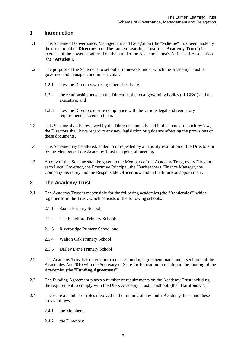# <span id="page-2-0"></span>**1 Introduction**

- 1.1 This Scheme of Governance, Management and Delegation (the "**Scheme**") has been made by the directors (the "**Directors**") of The Lumen Learning Trust (the "**Academy Trust**") in exercise of the powers conferred on them under the Academy Trust's Articles of Association (the "**Articles**").
- 1.2 The purpose of the Scheme is to set out a framework under which the Academy Trust is governed and managed, and in particular:
	- 1.2.1 how the Directors work together effectively;
	- 1.2.2 the relationship between the Directors, the local governing bodies ("**LGBs**") and the executive; and
	- 1.2.3 how the Directors ensure compliance with the various legal and regulatory requirements placed on them.
- 1.3 This Scheme shall be reviewed by the Directors annually and in the context of such review, the Directors shall have regard to any new legislation or guidance affecting the provisions of these documents.
- 1.4 This Scheme may be altered, added to or repealed by a majority resolution of the Directors or by the Members of the Academy Trust in a general meeting.
- 1.5 A copy of this Scheme shall be given to the Members of the Academy Trust, every Director, each Local Governor, the Executive Principal, the Headteachers, Finance Manager, the Company Secretary and the Responsible Officer now and in the future on appointment.

# <span id="page-2-1"></span>**2 The Academy Trust**

- 2.1 The Academy Trust is responsible for the following academies (the "**Academies**") which together form the Trust, which consists of the following schools:
	- 2.1.1 Saxon Primary School;
	- 2.1.2 The Echelford Primary School;
	- 2.1.3 Riverbridge Primary School and
	- 2.1.4 Walton Oak Primary School
	- 2.1.5 Darley Dene Primary School
- 2.2 The Academy Trust has entered into a master funding agreement made under section 1 of the Academies Act 2010 with the Secretary of State for Education in relation to the funding of the Academies (the "**Funding Agreement**").
- 2.3 The Funding Agreement places a number of requirements on the Academy Trust including the requirement to comply with the DfE's Academy Trust Handbook (the "**Handbook**").
- 2.4 There are a number of roles involved in the running of any multi-Academy Trust and these are as follows:
	- 2.4.1 the Members:
	- 2.4.2 the Directors;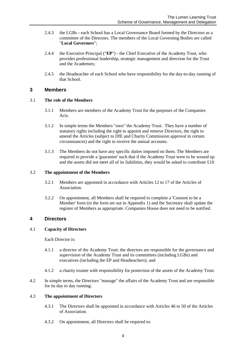- 2.4.3 the LGBs **-** each School has a Local Governance Board formed by the Directors as a committee of the Directors. The members of the Local Governing Bodies are called "**Local Governors**";
- 2.4.4 the Executive Principal ("**EP**") **-** the Chief Executive of the Academy Trust, who provides professional leadership, strategic management and direction for the Trust and the Academies;
- 2.4.5 the Headteacher of each School who have responsibility for the day-to-day running of that School.

# <span id="page-3-0"></span>**3 Members**

#### 3.1 **The role of the Members**

- 3.1.1 Members are members of the Academy Trust for the purposes of the Companies Acts.
- 3.1.2 In simple terms the Members "own" the Academy Trust. They have a number of statutory rights including the right to appoint and remove Directors, the right to amend the Articles (subject to DfE and Charity Commission approval in certain circumstances) and the right to receive the annual accounts.
- 3.1.3 The Members do not have any specific duties imposed on them. The Members are required to provide a 'guarantee' such that if the Academy Trust were to be wound up and the assets did not meet all of its liabilities, they would be asked to contribute £10.

#### 3.2 **The appointment of the Members**

- 3.2.1 Members are appointed in accordance with Articles 12 to 17 of the Articles of Association.
- 3.2.2 On appointment, all Members shall be required to complete a 'Consent to be a Member' form (in the form set out in Appendix 1) and the Secretary shall update the register of Members as appropriate. Companies House does not need to be notified.

# <span id="page-3-1"></span>**4 Directors**

# 4.1 **Capacity of Directors**

Each Director is:

- 4.1.1 a director of the Academy Trust: the directors are responsible for the governance and supervision of the Academy Trust and its committees (including LGBs) and executives (including the EP and Headteachers); and
- 4.1.2 a charity trustee with responsibility for protection of the assets of the Academy Trust.
- 4.2 In simple terms, the Directors "manage" the affairs of the Academy Trust and are responsible for its day to day running.

#### 4.3 **The appointment of Directors**

- 4.3.1 The Directors shall be appointed in accordance with Articles 46 to 50 of the Articles of Association.
- 4.3.2 On appointment, all Directors shall be required to: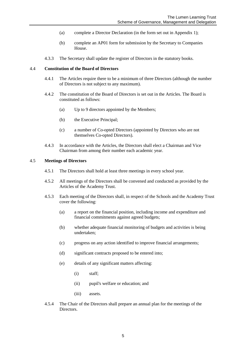- (a) complete a Director Declaration (in the form set out in Appendix 1);
- (b) complete an AP01 form for submission by the Secretary to Companies House.
- 4.3.3 The Secretary shall update the register of Directors in the statutory books.

#### 4.4 **Constitution of the Board of Directors**

- 4.4.1 The Articles require there to be a minimum of three Directors (although the number of Directors is not subject to any maximum).
- 4.4.2 The constitution of the Board of Directors is set out in the Articles. The Board is constituted as follows:
	- (a) Up to 9 directors appointed by the Members;
	- (b) the Executive Principal;
	- (c) a number of Co-opted Directors (appointed by Directors who are not themselves Co-opted Directors).
- 4.4.3 In accordance with the Articles, the Directors shall elect a Chairman and Vice Chairman from among their number each academic year.

#### 4.5 **Meetings of Directors**

- 4.5.1 The Directors shall hold at least three meetings in every school year.
- 4.5.2 All meetings of the Directors shall be convened and conducted as provided by the Articles of the Academy Trust.
- 4.5.3 Each meeting of the Directors shall, in respect of the Schools and the Academy Trust cover the following:
	- (a) a report on the financial position, including income and expenditure and financial commitments against agreed budgets;
	- (b) whether adequate financial monitoring of budgets and activities is being undertaken;
	- (c) progress on any action identified to improve financial arrangements;
	- (d) significant contracts proposed to be entered into;
	- (e) details of any significant matters affecting:
		- (i) staff;
		- (ii) pupil's welfare or education; and
		- (iii) assets.
- 4.5.4 The Chair of the Directors shall prepare an annual plan for the meetings of the Directors.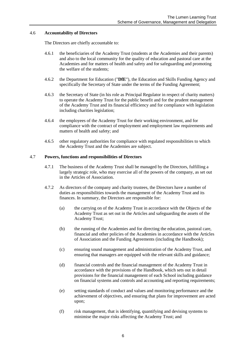#### 4.6 **Accountability of Directors**

The Directors are chiefly accountable to:

- 4.6.1 the beneficiaries of the Academy Trust (students at the Academies and their parents) and also to the local community for the quality of education and pastoral care at the Academies and for matters of health and safety and for safeguarding and promoting the welfare of the students;
- 4.6.2 the Department for Education ("**DfE**"), the Education and Skills Funding Agency and specifically the Secretary of State under the terms of the Funding Agreement;
- 4.6.3 the Secretary of State (in his role as Principal Regulator in respect of charity matters) to operate the Academy Trust for the public benefit and for the prudent management of the Academy Trust and its financial efficiency and for compliance with legislation including charities legislation;
- 4.6.4 the employees of the Academy Trust for their working environment, and for compliance with the contract of employment and employment law requirements and matters of health and safety; and
- 4.6.5 other regulatory authorities for compliance with regulated responsibilities to which the Academy Trust and the Academies are subject.

#### 4.7 **Powers, functions and responsibilities of Directors**

- 4.7.1 The business of the Academy Trust shall be managed by the Directors, fulfilling a largely strategic role, who may exercise all of the powers of the company, as set out in the Articles of Association.
- 4.7.2 As directors of the company and charity trustees, the Directors have a number of duties as responsibilities towards the management of the Academy Trust and its finances. In summary, the Directors are responsible for:
	- (a) the carrying on of the Academy Trust in accordance with the Objects of the Academy Trust as set out in the Articles and safeguarding the assets of the Academy Trust;
	- (b) the running of the Academies and for directing the education, pastoral care, financial and other policies of the Academies in accordance with the Articles of Association and the Funding Agreements (including the Handbook);
	- (c) ensuring sound management and administration of the Academy Trust, and ensuring that managers are equipped with the relevant skills and guidance;
	- (d) financial controls and the financial management of the Academy Trust in accordance with the provisions of the Handbook, which sets out in detail provisions for the financial management of each School including guidance on financial systems and controls and accounting and reporting requirements;
	- (e) setting standards of conduct and values and monitoring performance and the achievement of objectives, and ensuring that plans for improvement are acted upon;
	- (f) risk management, that is identifying, quantifying and devising systems to minimise the major risks affecting the Academy Trust; and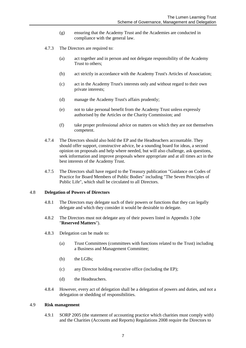- (g) ensuring that the Academy Trust and the Academies are conducted in compliance with the general law.
- 4.7.3 The Directors are required to:
	- (a) act together and in person and not delegate responsibility of the Academy Trust to others;
	- (b) act strictly in accordance with the Academy Trust's Articles of Association;
	- (c) act in the Academy Trust's interests only and without regard to their own private interests;
	- (d) manage the Academy Trust's affairs prudently;
	- (e) not to take personal benefit from the Academy Trust unless expressly authorised by the Articles or the Charity Commission; and
	- (f) take proper professional advice on matters on which they are not themselves competent.
- 4.7.4 The Directors should also hold the EP and the Headteachers accountable. They should offer support, constructive advice, be a sounding board for ideas, a second opinion on proposals and help where needed, but will also challenge, ask questions, seek information and improve proposals where appropriate and at all times act in the best interests of the Academy Trust.
- 4.7.5 The Directors shall have regard to the Treasury publication "Guidance on Codes of Practice for Board Members of Public Bodies" including "The Seven Principles of Public Life", which shall be circulated to all Directors.

#### 4.8 **Delegation of Powers of Directors**

- 4.8.1 The Directors may delegate such of their powers or functions that they can legally delegate and which they consider it would be desirable to delegate.
- 4.8.2 The Directors must not delegate any of their powers listed in Appendix 3 (the "**Reserved Matters**").
- 4.8.3 Delegation can be made to:
	- (a) Trust Committees (committees with functions related to the Trust) including a Business and Management Committee;
	- (b) the LGBs;
	- (c) any Director holding executive office (including the EP);
	- (d) the Headteachers.
- 4.8.4 However, every act of delegation shall be a delegation of powers and duties, and not a delegation or shedding of responsibilities.

#### 4.9 **Risk management**

4.9.1 SORP 2005 (the statement of accounting practice which charities must comply with) and the Charities (Accounts and Reports) Regulations 2008 require the Directors to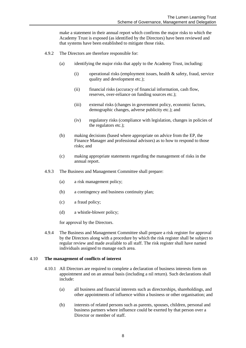make a statement in their annual report which confirms the major risks to which the Academy Trust is exposed (as identified by the Directors) have been reviewed and that systems have been established to mitigate those risks.

- 4.9.2 The Directors are therefore responsible for:
	- (a) identifying the major risks that apply to the Academy Trust, including:
		- (i) operational risks (employment issues, health & safety, fraud, service quality and development etc.);
		- (ii) financial risks (accuracy of financial information, cash flow, reserves, over-reliance on funding sources etc.);
		- (iii) external risks (changes in government policy, economic factors, demographic changes, adverse publicity etc.); and
		- (iv) regulatory risks (compliance with legislation, changes in policies of the regulators etc.);
	- (b) making decisions (based where appropriate on advice from the EP, the Finance Manager and professional advisors) as to how to respond to those risks; and
	- (c) making appropriate statements regarding the management of risks in the annual report.
- 4.9.3 The Business and Management Committee shall prepare:
	- (a) a risk management policy;
	- (b) a contingency and business continuity plan;
	- (c) a fraud policy;
	- (d) a whistle-blower policy;

for approval by the Directors.

4.9.4 The Business and Management Committee shall prepare a risk register for approval by the Directors along with a procedure by which the risk register shall be subject to regular review and made available to all staff. The risk register shall have named individuals assigned to manage each area.

#### 4.10 **The management of conflicts of interest**

- 4.10.1 All Directors are required to complete a declaration of business interests form on appointment and on an annual basis (including a nil return). Such declarations shall include:
	- (a) all business and financial interests such as directorships, shareholdings, and other appointments of influence within a business or other organisation; and
	- (b) interests of related persons such as parents, spouses, children, personal and business partners where influence could be exerted by that person over a Director or member of staff.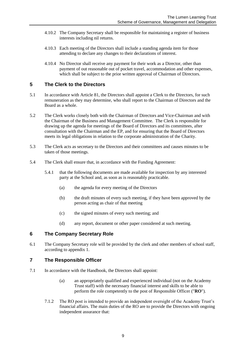- 4.10.2 The Company Secretary shall be responsible for maintaining a register of business interests including nil returns.
- 4.10.3 Each meeting of the Directors shall include a standing agenda item for those attending to declare any changes to their declarations of interest.
- 4.10.4 No Director shall receive any payment for their work as a Director, other than payment of out reasonable out of pocket travel, accommodation and other expenses, which shall be subject to the prior written approval of Chairman of Directors.

# <span id="page-8-0"></span>**5 The Clerk to the Directors**

- 5.1 In accordance with Article 81, the Directors shall appoint a Clerk to the Directors, for such remuneration as they may determine, who shall report to the Chairman of Directors and the Board as a whole.
- 5.2 The Clerk works closely both with the Chairman of Directors and Vice-Chairman and with the Chairman of the Business and Management Committee. The Clerk is responsible for drawing up the agenda for meetings of the Board of Directors and its committees, after consultation with the Chairman and the EP, and for ensuring that the Board of Directors meets its legal obligations in relation to the corporate administration of the Charity.
- 5.3 The Clerk acts as secretary to the Directors and their committees and causes minutes to be taken of those meetings.
- 5.4 The Clerk shall ensure that, in accordance with the Funding Agreement:
	- 5.4.1 that the following documents are made available for inspection by any interested party at the School and, as soon as is reasonably practicable.
		- (a) the agenda for every meeting of the Directors
		- (b) the draft minutes of every such meeting, if they have been approved by the person acting as chair of that meeting
		- (c) the signed minutes of every such meeting; and
		- (d) any report, document or other paper considered at such meeting.

# <span id="page-8-1"></span>**6 The Company Secretary Role**

6.1 The Company Secretary role will be provided by the clerk and other members of school staff, according to appendix 1.

# <span id="page-8-2"></span>**7 The Responsible Officer**

- 7.1 In accordance with the Handbook, the Directors shall appoint:
	- (a) an appropriately qualified and experienced individual (not on the Academy Trust staff) with the necessary financial interest and skills to be able to perform the role competently to the post of Responsible Officer ("**RO**").
	- 7.1.2 The RO post is intended to provide an independent oversight of the Academy Trust's financial affairs. The main duties of the RO are to provide the Directors with ongoing independent assurance that: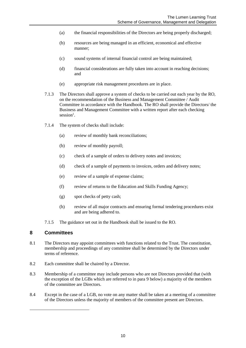- (a) the financial responsibilities of the Directors are being properly discharged;
- (b) resources are being managed in an efficient, economical and effective manner;
- (c) sound systems of internal financial control are being maintained;
- (d) financial considerations are fully taken into account in reaching decisions; and
- (e) appropriate risk management procedures are in place.
- 7.1.3 The Directors shall approve a system of checks to be carried out each year by the RO, on the recommendation of the Business and Management Committee / Audit Committee in accordance with the Handbook. The RO shall provide the Directors/ the Business and Management Committee with a written report after each checking session<sup>1</sup>.
- 7.1.4 The system of checks shall include:
	- (a) review of monthly bank reconciliations;
	- (b) review of monthly payroll;
	- (c) check of a sample of orders to delivery notes and invoices;
	- (d) check of a sample of payments to invoices, orders and delivery notes;
	- (e) review of a sample of expense claims;
	- (f) review of returns to the Education and Skills Funding Agency;
	- (g) spot checks of petty cash;
	- (h) review of all major contracts and ensuring formal tendering procedures exist and are being adhered to.
- 7.1.5 The guidance set out in the Handbook shall be issued to the RO.

#### <span id="page-9-0"></span>**8 Committees**

1

- 8.1 The Directors may appoint committees with functions related to the Trust. The constitution, membership and proceedings of any committee shall be determined by the Directors under terms of reference.
- 8.2 Each committee shall be chaired by a Director.
- 8.3 Membership of a committee may include persons who are not Directors provided that (with the exception of the LGBs which are referred to in para [9](#page-10-0) below) a majority of the members of the committee are Directors.
- 8.4 Except in the case of a LGB, no vote on any matter shall be taken at a meeting of a committee of the Directors unless the majority of members of the committee present are Directors.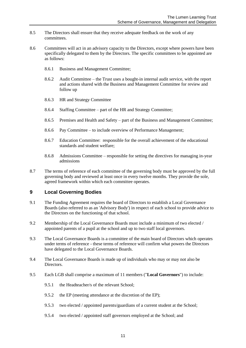- 8.5 The Directors shall ensure that they receive adequate feedback on the work of any committees.
- 8.6 Committees will act in an advisory capacity to the Directors, except where powers have been specifically delegated to them by the Directors. The specific committees to be appointed are as follows:
	- 8.6.1 Business and Management Committee;
	- 8.6.2 Audit Committee the Trust uses a bought-in internal audit service, with the report and actions shared with the Business and Management Committee for review and follow up
	- 8.6.3 HR and Strategy Committee
	- 8.6.4 Staffing Committee part of the HR and Strategy Committee;
	- 8.6.5 Premises and Health and Safety part of the Business and Management Committee;
	- 8.6.6 Pay Committee to include overview of Performance Management;
	- 8.6.7 Education Committee: responsible for the overall achievement of the educational standards and student welfare;
	- 8.6.8 Admissions Committee responsible for setting the directives for managing in-year admissions
- 8.7 The terms of reference of each committee of the governing body must be approved by the full governing body and reviewed at least once in every twelve months. They provide the sole, agreed framework within which each committee operates.

# <span id="page-10-0"></span>**9 Local Governing Bodies**

- 9.1 The Funding Agreement requires the board of Directors to establish a Local Governance Boards (also referred to as an 'Advisory Body') in respect of each school to provide advice to the Directors on the functioning of that school.
- 9.2 Membership of the Local Governance Boards must include a minimum of two elected / appointed parents of a pupil at the school and up to two staff local governors.
- 9.3 The Local Governance Boards is a committee of the main board of Directors which operates under terms of reference - these terms of reference will confirm what powers the Directors have delegated to the Local Governance Boards.
- 9.4 The Local Governance Boards is made up of individuals who may or may not also be Directors.
- 9.5 Each LGB shall comprise a maximum of 11 members ("**Local Governors**") to include:
	- 9.5.1 the Headteacher/s of the relevant School;
	- 9.5.2 the EP (meeting attendance at the discretion of the EP);
	- 9.5.3 two elected / appointed parents/guardians of a current student at the School;
	- 9.5.4 two elected / appointed staff governors employed at the School; and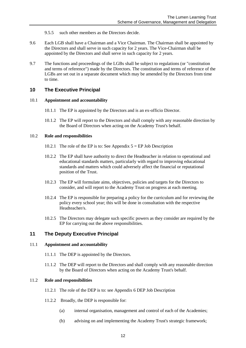- 9.5.5 such other members as the Directors decide.
- 9.6 Each LGB shall have a Chairman and a Vice Chairman. The Chairman shall be appointed by the Directors and shall serve in such capacity for 2 years. The Vice-Chairman shall be appointed by the Directors and shall serve in such capacity for 2 years.
- 9.7 The functions and proceedings of the LGBs shall be subject to regulations (or "constitution and terms of reference") made by the Directors. The constitution and terms of reference of the LGBs are set out in a separate document which may be amended by the Directors from time to time.

# <span id="page-11-0"></span>**10 The Executive Principal**

#### 10.1 **Appointment and accountability**

- 10.1.1 The EP is appointed by the Directors and is an ex-officio Director.
- 10.1.2 The EP will report to the Directors and shall comply with any reasonable direction by the Board of Directors when acting on the Academy Trust's behalf.

#### 10.2 **Role and responsibilities**

- 10.2.1 The role of the EP is to: See Appendix  $5 = EP$  Job Description
- 10.2.2 The EP shall have authority to direct the Headteacher in relation to operational and educational standards matters, particularly with regard to improving educational standards and matters which could adversely affect the financial or reputational position of the Trust.
- 10.2.3 The EP will formulate aims, objectives, policies and targets for the Directors to consider, and will report to the Academy Trust on progress at each meeting.
- 10.2.4 The EP is responsible for preparing a policy for the curriculum and for reviewing the policy every school year; this will be done in consultation with the respective Headteacher/s.
- <span id="page-11-1"></span>10.2.5 The Directors may delegate such specific powers as they consider are required by the EP for carrying out the above responsibilities.

# **11 The Deputy Executive Principal**

#### 11.1 **Appointment and accountability**

- 11.1.1 The DEP is appointed by the Directors.
- 11.1.2 The DEP will report to the Directors and shall comply with any reasonable direction by the Board of Directors when acting on the Academy Trust's behalf.

#### 11.2 **Role and responsibilities**

- 11.2.1 The role of the DEP is to: see Appendix 6 DEP Job Description
- 11.2.2 Broadly, the DEP is responsible for:
	- (a) internal organisation, management and control of each of the Academies;
	- (b) advising on and implementing the Academy Trust's strategic framework;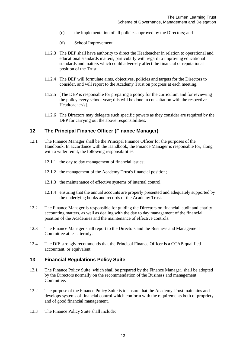- (c) the implementation of all policies approved by the Directors; and
- (d) School Improvement
- 11.2.3 The DEP shall have authority to direct the Headteacher in relation to operational and educational standards matters, particularly with regard to improving educational standards and matters which could adversely affect the financial or reputational position of the Trust.
- 11.2.4 The DEP will formulate aims, objectives, policies and targets for the Directors to consider, and will report to the Academy Trust on progress at each meeting.
- 11.2.5 [The DEP is responsible for preparing a policy for the curriculum and for reviewing the policy every school year; this will be done in consultation with the respective Headteacher/s].
- 11.2.6 The Directors may delegate such specific powers as they consider are required by the DEP for carrying out the above responsibilities.

# **12 The Principal Finance Officer (Finance Manager)**

- 12.1 The Finance Manager shall be the Principal Finance Officer for the purposes of the Handbook. In accordance with the Handbook, the Finance Manager is responsible for, along with a wider remit, the following responsibilities:
	- 12.1.1 the day to day management of financial issues;
	- 12.1.2 the management of the Academy Trust's financial position;
	- 12.1.3 the maintenance of effective systems of internal control;
	- 12.1.4 ensuring that the annual accounts are properly presented and adequately supported by the underlying books and records of the Academy Trust.
- 12.2 The Finance Manager is responsible for guiding the Directors on financial, audit and charity accounting matters, as well as dealing with the day to day management of the financial position of the Academies and the maintenance of effective controls.
- 12.3 The Finance Manager shall report to the Directors and the Business and Management Committee at least termly.
- 12.4 The DfE strongly recommends that the Principal Finance Officer is a CCAB qualified accountant, or equivalent.

# <span id="page-12-0"></span>**13 Financial Regulations Policy Suite**

- 13.1 The Finance Policy Suite, which shall be prepared by the Finance Manager, shall be adopted by the Directors normally on the recommendation of the Business and management Committee.
- 13.2 The purpose of the Finance Policy Suite is to ensure that the Academy Trust maintains and develops systems of financial control which conform with the requirements both of propriety and of good financial management.
- 13.3 The Finance Policy Suite shall include: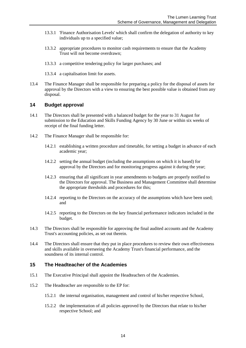- 13.3.1 'Finance Authorisation Levels' which shall confirm the delegation of authority to key individuals up to a specified value;
- 13.3.2 appropriate procedures to monitor cash requirements to ensure that the Academy Trust will not become overdrawn;
- 13.3.3 a competitive tendering policy for larger purchases; and
- 13.3.4 a capitalisation limit for assets.
- 13.4 The Finance Manager shall be responsible for preparing a policy for the disposal of assets for approval by the Directors with a view to ensuring the best possible value is obtained from any disposal.

#### <span id="page-13-0"></span>**14 Budget approval**

- 14.1 The Directors shall be presented with a balanced budget for the year to 31 August for submission to the Education and Skills Funding Agency by 30 June or within six weeks of receipt of the final funding letter.
- 14.2 The Finance Manager shall be responsible for:
	- 14.2.1 establishing a written procedure and timetable, for setting a budget in advance of each academic year;
	- 14.2.2 setting the annual budget (including the assumptions on which it is based) for approval by the Directors and for monitoring progress against it during the year;
	- 14.2.3 ensuring that all significant in year amendments to budgets are properly notified to the Directors for approval. The Business and Management Committee shall determine the appropriate thresholds and procedures for this;
	- 14.2.4 reporting to the Directors on the accuracy of the assumptions which have been used; and
	- 14.2.5 reporting to the Directors on the key financial performance indicators included in the budget.
- 14.3 The Directors shall be responsible for approving the final audited accounts and the Academy Trust's accounting policies, as set out therein.
- 14.4 The Directors shall ensure that they put in place procedures to review their own effectiveness and skills available in overseeing the Academy Trust's financial performance, and the soundness of its internal control.

#### <span id="page-13-1"></span>**15 The Headteacher of the Academies**

- 15.1 The Executive Principal shall appoint the Headteachers of the Academies.
- 15.2 The Headteacher are responsible to the EP for:
	- 15.2.1 the internal organisation, management and control of his/her respective School,
	- 15.2.2 the implementation of all policies approved by the Directors that relate to his/her respective School; and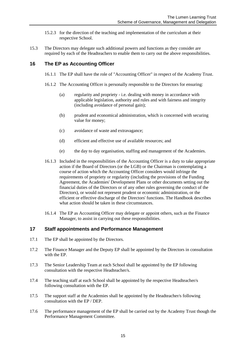- 15.2.3 for the direction of the teaching and implementation of the curriculum at their respective School.
- 15.3 The Directors may delegate such additional powers and functions as they consider are required by each of the Headteachers to enable them to carry out the above responsibilities.

# <span id="page-14-0"></span>**16 The EP as Accounting Officer**

- 16.1.1 The EP shall have the role of "Accounting Officer" in respect of the Academy Trust.
- 16.1.2 The Accounting Officer is personally responsible to the Directors for ensuring:
	- (a) regularity and propriety i.e. dealing with money in accordance with applicable legislation, authority and rules and with fairness and integrity (including avoidance of personal gain);
	- (b) prudent and economical administration, which is concerned with securing value for money;
	- (c) avoidance of waste and extravagance;
	- (d) efficient and effective use of available resources; and
	- (e) the day to day organisation, staffing and management of the Academies.
- 16.1.3 Included in the responsibilities of the Accounting Officer is a duty to take appropriate action if the Board of Directors (or the LGB) or the Chairman is contemplating a course of action which the Accounting Officer considers would infringe the requirements of propriety or regularity (including the provisions of the Funding Agreement, the Academies' Development Plans or other documents setting out the financial duties of the Directors or of any other rules governing the conduct of the Directors), or would not represent prudent or economic administration, or the efficient or effective discharge of the Directors' functions. The Handbook describes what action should be taken in these circumstances.
- 16.1.4 The EP as Accounting Officer may delegate or appoint others, such as the Finance Manager, to assist in carrying out these responsibilities.

# <span id="page-14-1"></span>**17 Staff appointments and Performance Management**

- 17.1 The EP shall be appointed by the Directors.
- 17.2 The Finance Manager and the Deputy EP shall be appointed by the Directors in consultation with the EP.
- 17.3 The Senior Leadership Team at each School shall be appointed by the EP following consultation with the respective Headteacher/s.
- 17.4 The teaching staff at each School shall be appointed by the respective Headteacher/s following consultation with the EP.
- 17.5 The support staff at the Academies shall be appointed by the Headteacher/s following consultation with the EP / DEP.
- 17.6 The performance management of the EP shall be carried out by the Academy Trust though the Performance Management Committee.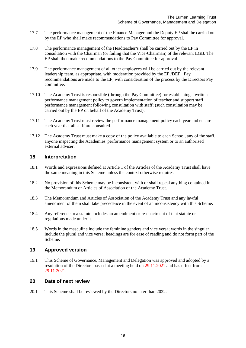- 17.7 The performance management of the Finance Manager and the Deputy EP shall be carried out by the EP who shall make recommendations to Pay Committee for approval.
- 17.8 The performance management of the Headteacher/s shall be carried out by the EP in consultation with the Chairman (or failing that the Vice-Chairman) of the relevant LGB. The EP shall then make recommendations to the Pay Committee for approval.
- 17.9 The performance management of all other employees will be carried out by the relevant leadership team, as appropriate, with moderation provided by the EP /DEP. Pay recommendations are made to the EP, with consideration of the process by the Directors Pay committee.
- 17.10 The Academy Trust is responsible (through the Pay Committee) for establishing a written performance management policy to govern implementation of teacher and support staff performance management following consultation with staff; (such consultation may be carried out by the EP on behalf of the Academy Trust).
- 17.11 The Academy Trust must review the performance management policy each year and ensure each year that all staff are consulted.
- 17.12 The Academy Trust must make a copy of the policy available to each School, any of the staff, anyone inspecting the Academies' performance management system or to an authorised external adviser.

# <span id="page-15-0"></span>**18 Interpretation**

- 18.1 Words and expressions defined at Article 1 of the Articles of the Academy Trust shall have the same meaning in this Scheme unless the context otherwise requires.
- 18.2 No provision of this Scheme may be inconsistent with or shall repeal anything contained in the Memorandum or Articles of Association of the Academy Trust.
- 18.3 The Memorandum and Articles of Association of the Academy Trust and any lawful amendment of them shall take precedence in the event of an inconsistency with this Scheme.
- 18.4 Any reference to a statute includes an amendment or re-enactment of that statute or regulations made under it.
- 18.5 Words in the masculine include the feminine genders and vice versa; words in the singular include the plural and vice versa; headings are for ease of reading and do not form part of the Scheme.

# <span id="page-15-1"></span>**19 Approved version**

19.1 This Scheme of Governance, Management and Delegation was approved and adopted by a resolution of the Directors passed at a meeting held on 29.11.2021 and has effect from 29.11.2021.

# <span id="page-15-2"></span>**20 Date of next review**

20.1 This Scheme shall be reviewed by the Directors no later than 2022.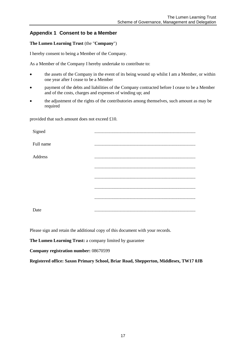# <span id="page-16-0"></span>**Appendix 1 Consent to be a Member**

#### **The Lumen Learning Trust** (the "**Company**")

I hereby consent to being a Member of the Company.

As a Member of the Company I hereby undertake to contribute to:

- the assets of the Company in the event of its being wound up whilst I am a Member, or within one year after I cease to be a Member
- payment of the debts and liabilities of the Company contracted before I cease to be a Member and of the costs, charges and expenses of winding up; and
- the adjustment of the rights of the contributories among themselves, such amount as may be required

provided that such amount does not exceed £10.

| Signed    |  |
|-----------|--|
| Full name |  |
| Address   |  |
|           |  |
|           |  |
|           |  |
|           |  |
| Date      |  |

Please sign and retain the additional copy of this document with your records.

**The Lumen Learning Trust:** a company limited by guarantee

**Company registration number:** 08670599

**Registered office: Saxon Primary School, Briar Road, Shepperton, Middlesex, TW17 0JB**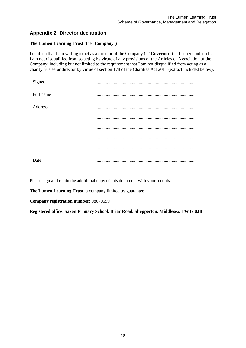# <span id="page-17-0"></span>**Appendix 2 Director declaration**

# **The Lumen Learning Trust** (the "**Company**")

I confirm that I am willing to act as a director of the Company (a "**Governor**"). I further confirm that I am not disqualified from so acting by virtue of any provisions of the Articles of Association of the Company, including but not limited to the requirement that I am not disqualified from acting as a charity trustee or director by virtue of section 178 of the Charities Act 2011 (extract included below).

| Signed    |        |
|-----------|--------|
| Full name |        |
| Address   |        |
|           |        |
|           |        |
|           |        |
|           |        |
| Date      | .<br>. |

Please sign and retain the additional copy of this document with your records.

**The Lumen Learning Trust**: a company limited by guarantee

**Company registration number**: 08670599

**Registered office**: **Saxon Primary School, Briar Road, Shepperton, Middlesex, TW17 0JB**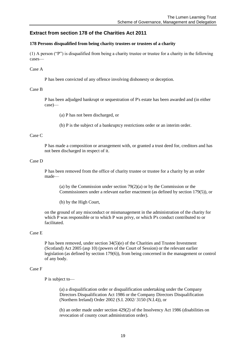# **Extract from section 178 of the Charities Act 2011**

#### **178 Persons disqualified from being charity trustees or trustees of a charity**

(1) A person ("P") is disqualified from being a charity trustee or trustee for a charity in the following cases—

#### Case A

P has been convicted of any offence involving dishonesty or deception.

#### Case B

P has been adjudged bankrupt or sequestration of P's estate has been awarded and (in either case)—

(a) P has not been discharged, or

(b) P is the subject of a bankruptcy restrictions order or an interim order.

#### Case C

P has made a composition or arrangement with, or granted a trust deed for, creditors and has not been discharged in respect of it.

#### Case D

P has been removed from the office of charity trustee or trustee for a charity by an order made—

(a) by the Commission under section 79(2)(a) or by the Commission or the Commissioners under a relevant earlier enactment (as defined by section 179(5)), or

(b) by the High Court,

on the ground of any misconduct or mismanagement in the administration of the charity for which P was responsible or to which P was privy, or which P's conduct contributed to or facilitated.

#### Case E

P has been removed, under section 34(5)(e) of the Charities and Trustee Investment (Scotland) Act 2005 (asp 10) (powers of the Court of Session) or the relevant earlier legislation (as defined by section 179(6)), from being concerned in the management or control of any body.

#### Case F

P is subject to—

(a) a disqualification order or disqualification undertaking under the Company Directors Disqualification Act 1986 or the Company Directors Disqualification (Northern Ireland) Order 2002 (S.I. 2002/ 3150 (N.I.4)), or

(b) an order made under section 429(2) of the Insolvency Act 1986 (disabilities on revocation of county court administration order).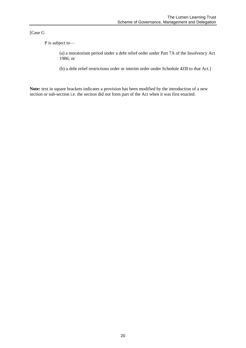[Case G

P is subject to—

(a) a moratorium period under a debt relief order under Part 7A of the Insolvency Act 1986; or

(b) a debt relief restrictions order or interim order under Schedule 4ZB to that Act.]

**Note:** text in square brackets indicates a provision has been modified by the introduction of a new section or sub-section i.e. the section did not form part of the Act when it was first enacted.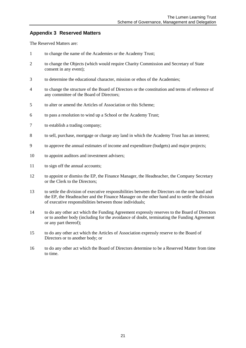# <span id="page-20-0"></span>**Appendix 3 Reserved Matters**

The Reserved Matters are:

- 1 to change the name of the Academies or the Academy Trust;
- 2 to change the Objects (which would require Charity Commission and Secretary of State consent in any event);
- 3 to determine the educational character, mission or ethos of the Academies;
- 4 to change the structure of the Board of Directors or the constitution and terms of reference of any committee of the Board of Directors;
- 5 to alter or amend the Articles of Association or this Scheme;
- 6 to pass a resolution to wind up a School or the Academy Trust;
- 7 to establish a trading company;
- 8 to sell, purchase, mortgage or charge any land in which the Academy Trust has an interest;
- 9 to approve the annual estimates of income and expenditure (budgets) and major projects;
- 10 to appoint auditors and investment advisers;
- 11 to sign off the annual accounts;
- 12 to appoint or dismiss the EP, the Finance Manager, the Headteacher, the Company Secretary or the Clerk to the Directors;
- 13 to settle the division of executive responsibilities between the Directors on the one hand and the EP, the Headteacher and the Finance Manager on the other hand and to settle the division of executive responsibilities between those individuals;
- 14 to do any other act which the Funding Agreement expressly reserves to the Board of Directors or to another body (including for the avoidance of doubt, terminating the Funding Agreement or any part thereof);
- 15 to do any other act which the Articles of Association expressly reserve to the Board of Directors or to another body; or
- 16 to do any other act which the Board of Directors determine to be a Reserved Matter from time to time.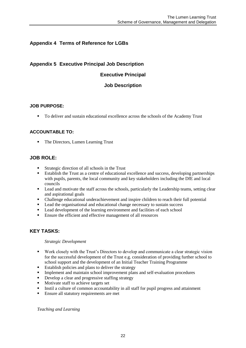# <span id="page-21-0"></span>**Appendix 4 Terms of Reference for LGBs**

# **Appendix 5 Executive Principal Job Description**

# **Executive Principal**

# **Job Description**

#### **JOB PURPOSE:**

To deliver and sustain educational excellence across the schools of the Academy Trust

# **ACCOUNTABLE TO:**

• The Directors, Lumen Learning Trust

# **JOB ROLE:**

- Strategic direction of all schools in the Trust
- Establish the Trust as a centre of educational excellence and success, developing partnerships with pupils, parents, the local community and key stakeholders including the DfE and local councils
- **Lead and motivate the staff across the schools, particularly the Leadership teams, setting clear** and aspirational goals
- Challenge educational underachievement and inspire children to reach their full potential
- **Lead the organisational and educational change necessary to sustain success**
- **Lead development of the learning environment and facilities of each school**
- Ensure the efficient and effective management of all resources

# **KEY TASKS:**

#### *Strategic Development*

- Work closely with the Trust's Directors to develop and communicate a clear strategic vision for the successful development of the Trust e.g. consideration of providing further school to school support and the development of an Initial Teacher Training Programme
- **Establish policies and plans to deliver the strategy**
- **Implement and maintain school improvement plans and self-evaluation procedures**
- Develop a clear and progressive staffing strategy<br>■ Motivate staff to achieve targets set
- Motivate staff to achieve targets set
- Instil a culture of common accountability in all staff for pupil progress and attainment
- **Ensure all statutory requirements are met**

*Teaching and Learning*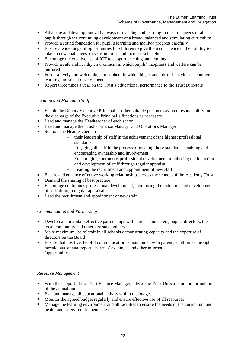- Advocate and develop innovative ways of teaching and learning to meet the needs of all pupils through the continuing development of a broad, balanced and stimulating curriculum
- Provide a sound foundation for pupil's learning and monitor progress carefully<br>Final a wide range of opportunities for children to give them confidence in the
- Ensure a wide range of opportunities for children to give them confidence in their ability to take on new challenges, raise aspirations and increase self-belief
- Encourage the creative use of ICT to support teaching and learning
- Provide a safe and healthy environment in which pupils' happiness and welfare can be nurtured
- Foster a lively and welcoming atmosphere in which high standards of behaviour encourage learning and social development
- Report three times a year on the Trust's educational performance to the Trust Directors

#### *Leading and Managing Staff*

- Enable the Deputy Executive Principal or other suitable person to assume responsibility for the discharge of the Executive Principal's functions as necessary
- **Lead and manage the Headteacher of each school**
- Lead and manage the Trust's Finance Manager and Operations Manager<br>■ Sunnort the Headteachers in
- Support the Headteachers in
	- their leadership of staff in the achievement of the highest professional standards
	- Engaging all staff in the process of meeting those standards, enabling and encouraging ownership and involvement
	- Encouraging continuous professional development, monitoring the induction and development of staff through regular appraisal
	- Leading the recruitment and appointment of new staff
- Ensure and enhance effective working relationships across the schools of the Academy Trust
- Demand the sharing of best practice<br>• Encourage continuous professional of
- Encourage continuous professional development, monitoring the induction and development of staff through regular appraisal
- **Lead the recruitment and appointment of new staff**

#### *Communication and Partnership*

- Develop and maintain effective partnerships with parents and carers, pupils, directors, the local community and other key stakeholders
- Make maximum use of staff in all schools demonstrating capacity and the expertise of directors on the Board
- Ensure that positive, helpful communication is maintained with parents at all times through newsletters, annual reports, parents' evenings, and other informal **Opportunities**

# *Resource Management*

- With the support of the Trust Finance Manager, advise the Trust Directors on the formulation of the annual budget
- Plan and manage all educational activity within the budget<br>■ Monitor the agreed budget regularly and ensure effective use
- Monitor the agreed budget regularly and ensure effective use of all resources
- **Manage the learning environment and all facilities to ensure the needs of the curriculum and** health and safety requirements are met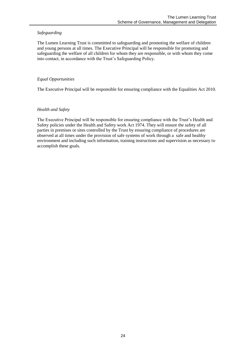# *Safeguarding*

The Lumen Learning Trust is committed to safeguarding and promoting the welfare of children and young persons at all times. The Executive Principal will be responsible for promoting and safeguarding the welfare of all children for whom they are responsible, or with whom they come into contact, in accordance with the Trust's Safeguarding Policy.

# *Equal Opportunities*

The Executive Principal will be responsible for ensuring compliance with the Equalities Act 2010.

# *Health and Safety*

The Executive Principal will be responsible for ensuring compliance with the Trust's Health and Safety policies under the Health and Safety work Act 1974. They will ensure the safety of all parties in premises or sites controlled by the Trust by ensuring compliance of procedures are observed at all times under the provision of safe systems of work through a safe and healthy environment and including such information, training instructions and supervision as necessary to accomplish these goals.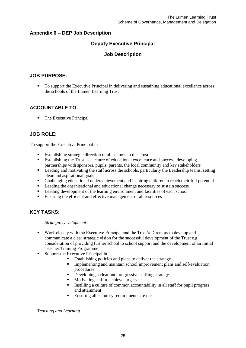# **Appendix 6 – DEP Job Description**

# **Deputy Executive Principal**

# **Job Description**

# **JOB PURPOSE:**

 To support the Executive Principal in delivering and sustaining educational excellence across the schools of the Lumen Learning Trust

# **ACCOUNTABLE TO:**

• The Executive Principal

# **JOB ROLE:**

To support the Executive Principal in

- Establishing strategic direction of all schools in the Trust
- Establishing the Trust as a centre of educational excellence and success, developing partnerships with sponsors, pupils, parents, the local community and key stakeholders
- **•** Leading and motivating the staff across the schools, particularly the Leadership teams, setting clear and aspirational goals
- Challenging educational underachievement and inspiring children to reach their full potential
- **Leading the organisational and educational change necessary to sustain success**
- **Leading development of the learning environment and facilities of each school**
- Ensuring the efficient and effective management of all resources

# **KEY TASKS:**

#### *Strategic Development*

- Work closely with the Executive Principal and the Trust's Directors to develop and communicate a clear strategic vision for the successful development of the Trust e.g. consideration of providing further school to school support and the development of an Initial Teacher Training Programme
- Support the Executive Principal in
	- Establishing policies and plans to deliver the strategy
		- Implementing and maintain school improvement plans and self-evaluation procedures
		- Developing a clear and progressive staffing strategy
		- Motivating staff to achieve targets set
		- Instilling a culture of common accountability in all staff for pupil progress and attainment
		- **Ensuring all statutory requirements are met**

*Teaching and Learning*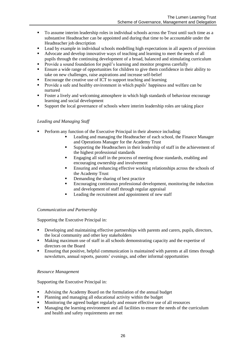- To assume interim leadership roles in individual schools across the Trust until such time as a substantive Headteacher can be appointed and during that time to be accountable under the Headteacher job description
- Lead by example in individual schools modelling high expectations in all aspects of provision
- Advocate and develop innovative ways of teaching and learning to meet the needs of all pupils through the continuing development of a broad, balanced and stimulating curriculum
- **Provide a sound foundation for pupil's learning and monitor progress carefully**
- Ensure a wide range of opportunities for children to give them confidence in their ability to take on new challenges, raise aspirations and increase self-belief
- Encourage the creative use of ICT to support teaching and learning<br>■ Provide a safe and healthy environment in which nunils' hanniness
- Provide a safe and healthy environment in which pupils' happiness and welfare can be nurtured
- Foster a lively and welcoming atmosphere in which high standards of behaviour encourage learning and social development
- **Support the local governance of schools where interim leadership roles are taking place**

#### *Leading and Managing Staff*

- **Perform any function of the Executive Principal in their absence including:** 
	- Leading and managing the Headteacher of each school, the Finance Manager and Operations Manager for the Academy Trust
	- Supporting the Headteachers in their leadership of staff in the achievement of the highest professional standards
	- Engaging all staff in the process of meeting those standards, enabling and encouraging ownership and involvement
	- **Ensuring and enhancing effective working relationships across the schools of** the Academy Trust
	- Demanding the sharing of best practice
	- Encouraging continuous professional development, monitoring the induction and development of staff through regular appraisal
	- Leading the recruitment and appointment of new staff

#### *Communication and Partnership*

Supporting the Executive Principal in:

- Developing and maintaining effective partnerships with parents and carers, pupils, directors, the local community and other key stakeholders
- Making maximum use of staff in all schools demonstrating capacity and the expertise of directors on the Board
- Ensuring that positive, helpful communication is maintained with parents at all times through newsletters, annual reports, parents' evenings, and other informal opportunities

#### *Resource Management*

Supporting the Executive Principal in:

- Advising the Academy Board on the formulation of the annual budget
- Planning and managing all educational activity within the budget
- Monitoring the agreed budget regularly and ensure effective use of all resources
- **Managing the learning environment and all facilities to ensure the needs of the curriculum** and health and safety requirements are met